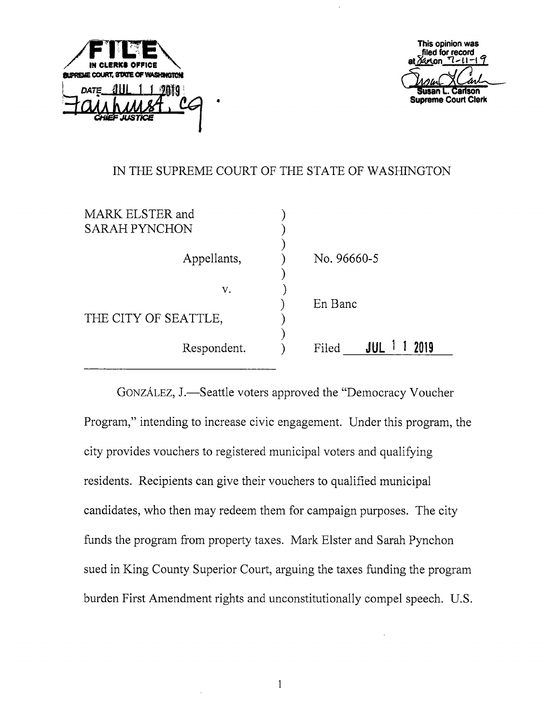



## IN THE SUPREME COURT OF THE STATE OF WASHINGTON

| MARK ELSTER and<br><b>SARAH PYNCHON</b> |                          |
|-----------------------------------------|--------------------------|
| Appellants,                             | No. 96660-5              |
| v.<br>THE CITY OF SEATTLE,              | En Banc                  |
| Respondent.                             | $JUL$ 1<br>2019<br>Filed |

GONZÁLEZ, J.—Seattle voters approved the "Democracy Voucher" Program," intending to increase civic engagement. Under this program, the city provides vouchers to registered municipal voters and qualifying residents. Recipients can give their vouchers to qualified municipal candidates, who then may redeem them for campaign purposes. The city funds the program from property taxes. Mark Elster and Sarah Pynchon sued in King County Superior Court, arguing the taxes funding the program burden First Amendment rights and unconstitutionally compel speech. U.S.

 $\,1$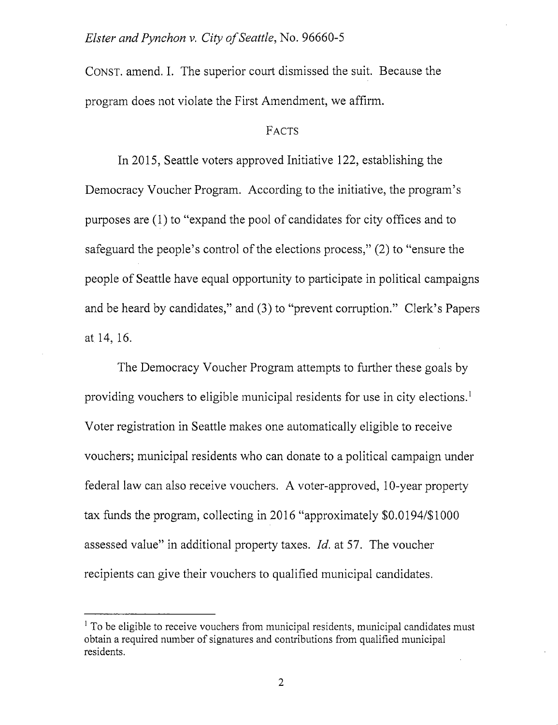CONST, amend. I. The superior court dismissed the suit. Because the program does not violate the First Amendment, we affirm.

## **FACTS**

In 2015, Seattle voters approved Initiative 122, establishing the Democracy Voucher Program. According to the initiative, the program's purposes are (1) to "expand the pool of candidates for city offices and to safeguard the people's control of the elections process," (2) to "ensure the people of Seattle have equal opportunity to participate in political campaigns and be heard by candidates," and (3) to "prevent corruption." Clerk's Papers at 14, 16.

The Democracy Voucher Program attempts to further these goals by providing vouchers to eligible municipal residents for use in city elections.' Voter registration in Seattle makes one automatically eligible to receive vouchers; municipal residents who can donate to a political campaign under federal law can also receive vouchers. A voter-approved, 10-year property tax funds the program, collecting in 2016 "approximately \$0.0194/\$ 1000 assessed value" in additional property taxes. Id. at 57. The voucher recipients can give their vouchers to qualified municipal candidates.

<sup>&</sup>lt;sup>1</sup> To be eligible to receive vouchers from municipal residents, municipal candidates must obtain a required number of signatures and contributions from qualified municipal residents.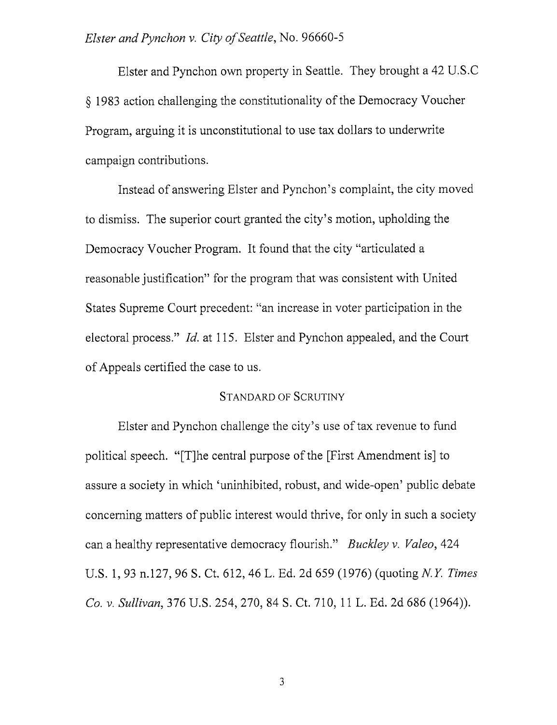Elster and Pynchon own property in Seattle. They brought a 42 U.S.C § 1983 action challenging the constitutionality of the Democracy Voucher Program, arguing it is unconstitutional to use tax dollars to underwrite campaign contributions.

Instead of answering Elster and Pynchon's complaint, the city moved to dismiss. The superior court granted the city's motion, upholding the Democracy Voucher Program. It found that the city "articulated a reasonable justification" for the program that was consistent with United States Supreme Court precedent: "an increase in voter participation in the electoral process." Id. at 115. Elster and Pynchon appealed, and the Court of Appeals certified the case to us.

#### Standard of Scrutiny

Elster and Pynchon challenge the city's use of tax revenue to fund political speech. "[T]he central purpose of the [First Amendment is] to assure a society in which 'uninhibited, robust, and wide-open' public debate concerning matters of public interest would thrive, for only in such a society can a healthy representative democracy flourish." Buckley v. Valeo, 424 U.S. 1, 93 n.127, 96 S. Ct. 612, 46 L. Ed. 2d 659 (1976) (quoting N.Y. Times Co. V. Sullivan, 376 U.S. 254, 270, 84 S. Ct. 710, 11 L. Ed. 2d 686 (1964)).

 $\overline{3}$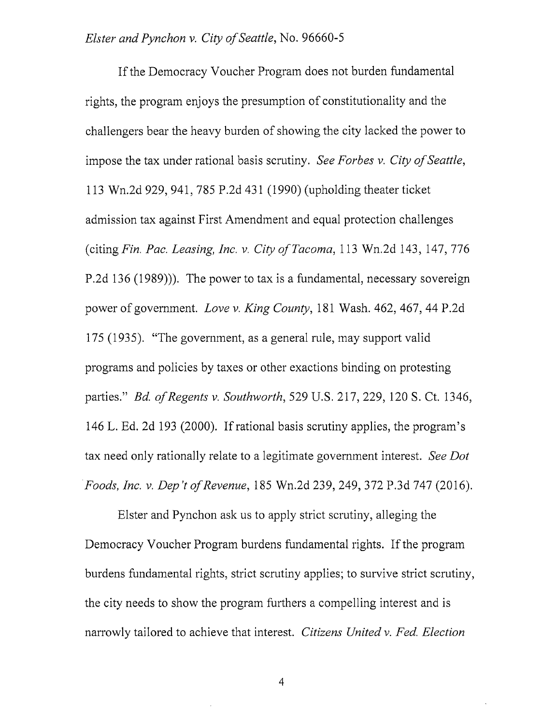If the Democracy Voucher Program does not burden fundamental rights, the program enjoys the presumption of constitutionality and the challengers bear the heavy burden of showing the city lacked the power to impose the tax under rational basis scrutiny. See Forbes  $v$ . City of Seattle, 113 Wn.2d 929, 941, 785 P.2d 431 (1990) (upholding theater ticket admission tax against First Amendment and equal protection challenges (citing Fin. Pac. Leasing, Inc. v. City of Tacoma,  $113$  Wn.2d  $143$ ,  $147$ ,  $776$ P.2d 136 (1989))). The power to tax is a fundamental, necessary sovereign power of government. Love v. King County, 181 Wash. 462, 467, 44 P.2d 175 (1935). "The government, as a general rule, may support valid programs and policies by taxes or other exactions binding on protesting parties." Bd. of Regents v. Southworth, 529 U.S. 217, 229, 120 S. Ct. 1346, 146 L. Ed. 2d 193 (2000). If rational basis scrutiny applies, the program's tax need only rationally relate to a legitimate government interest. See Dot Foods, Inc. V. Dep't of Revenue, 185 Wn.2d 239, 249, 372 P.3d 747 (2016).

Bister and Pynchon ask us to apply strict scrutiny, alleging the Democracy Voucher Program burdens fundamental rights. If the program burdens fundamental rights, strict scrutiny applies; to survive strict scrutiny, the city needs to show the program furthers a compelling interest and is narrowly tailored to achieve that interest. Citizens United v. Fed. Election

4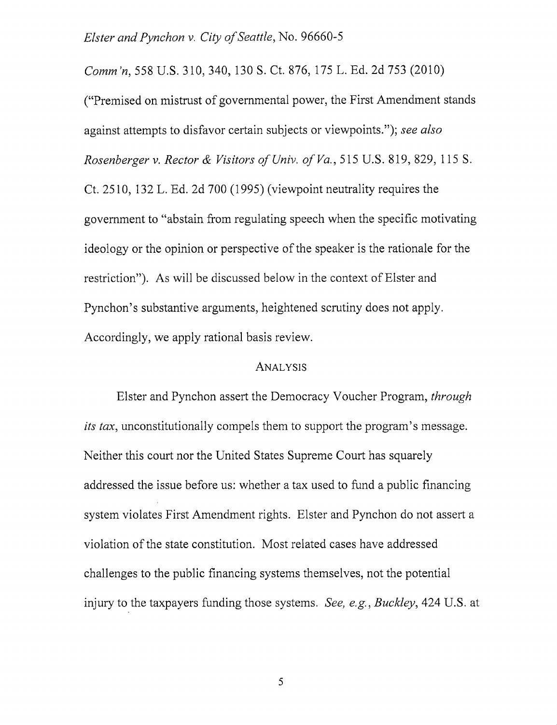Comm'n, 558 U.S. 310, 340, 130 S. Ct. 876, 175 L. Ed. 2d 753 (2010) ("Premised on mistrust of governmental power, the First Amendment stands against attempts to disfavor certain subjects or viewpoints."); see also Rosenberger v. Rector & Visitors of Univ. of Va., 515 U.S. 819, 829, 115 S. Ct. 2510, 132 L. Ed. 2d 700 (1995) (viewpoint neutrality requires the government to "abstain from regulating speech when the specific motivating ideology or the opinion or perspective of the speaker is the rationale for the restriction"). As will be discussed below in the context of Elster and Pynchon's substantive arguments, heightened scrutiny does not apply. Accordingly, we apply rational basis review.

#### **ANALYSIS**

Elster and Pynchon assert the Democracy Voucher Program, through its tax, unconstitutionally compels them to support the program's message. Neither this court nor the United States Supreme Court has squarely addressed the issue before us; whether a tax used to fund a public financing system violates First Amendment rights. Elster and Pynchon do not assert a violation of the state constitution. Most related cases have addressed challenges to the public financing systems themselves, not the potential injury to the taxpayers funding those systems. See, e.g., Buckley, 424 U.S. at

5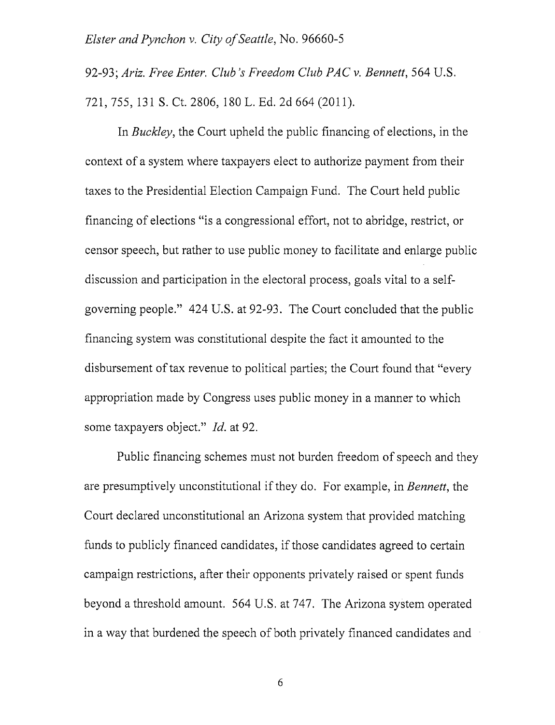92-93; Ariz. Free Enter. Club's Freedom Club PAC v. Bennett, 564 U.S. 721, 755, 131 S. Ct. 2806, 180 L. Ed. 2d 664 (2011).

In *Buckley*, the Court upheld the public financing of elections, in the context of a system where taxpayers elect to authorize payment from their taxes to the Presidential Election Campaign Fund. The Court held public financing of elections "is a congressional effort, not to abridge, restrict, or censor speech, but rather to use public money to facilitate and enlarge public discussion and participation in the electoral process, goals vital to a selfgoverning people." 424 U.S. at 92-93. The Court concluded that the public financing system was constitutional despite the fact it amounted to the disbursement of tax revenue to political parties; the Court found that "every appropriation made by Congress uses public money in a manner to which some taxpayers object." *Id.* at 92.

Public financing schemes must not burden freedom of speech and they are presumptively unconstitutional if they do. For example, in Bennett, the Court declared unconstitutional an Arizona system that provided matching funds to publicly financed candidates, if those candidates agreed to certain campaign restrictions, after their opponents privately raised or spent funds beyond a threshold amount. 564 U.S. at 747. The Arizona system operated in a way that burdened the speech of both privately financed candidates and

6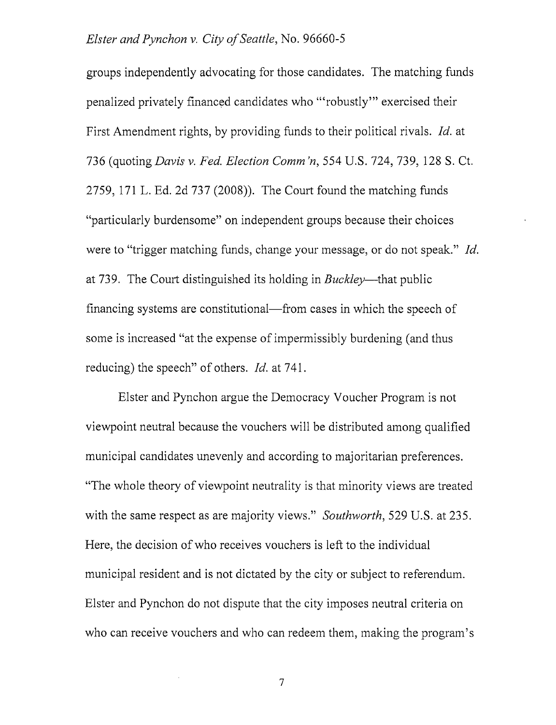groups independently advocating for those candidates. The matching funds penalized privately financed candidates who '"robustly"' exercised their First Amendment rights, by providing funds to their political rivals. Id. at 736 (quoting *Davis v. Fed. Election Comm'n,* 554 U.S. 724, 739, 128 S. Ct. 2759, 171 L. Ed. 2d 737 (2008)). The Court found the matching funds "particularly burdensome" on independent groups because their choices were to "trigger matching funds, change your message, or do not speak." *Id.* at 739. The Court distinguished its holding in *Buckley*—that public financing systems are constitutional—from cases in which the speech of some is increased "at the expense of impermissibly burdening (and thus reducing) the speech" of others. *Id.* at 741.

Elster and Pynchon argue the Democracy Voucher Program is not viewpoint neutral because the vouchers will be distributed among qualified municipal candidates unevenly and according to majoritarian preferences. "The whole theory of viewpoint neutrality is that minority views are treated with the same respect as are majority views." Southworth, 529 U.S. at 235. Here, the decision of who receives vouchers is left to the individual municipal resident and is not dictated by the city or subject to referendum. Elster and Pynchon do not dispute that the city imposes neutral criteria on who can receive vouchers and who can redeem them, making the program's

 $\overline{7}$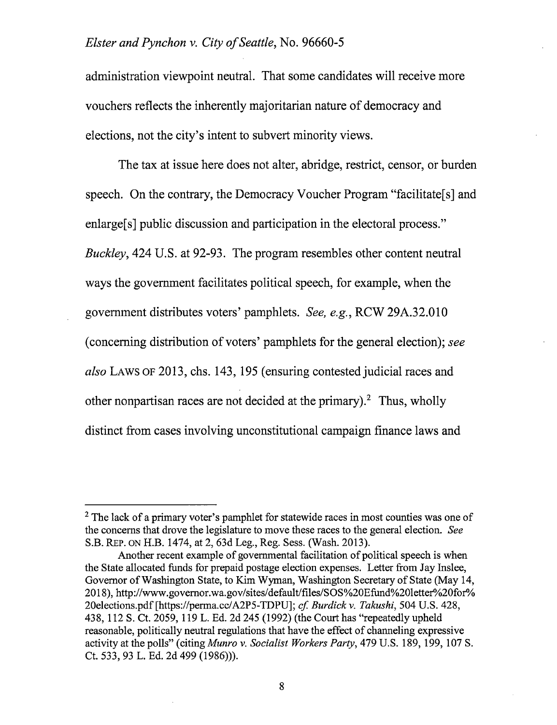administration viewpoint neutral. That some candidates will receive more vouchers reflects the inherently majoritarian nature of democracy and elections, not the city's intent to subvert minority views.

The tax at issue here does not alter, abridge, restrict, censor, or burden speech. On the contrary, the Democracy Voucher Program "facilitate[s] and enlarge<sup>[s]</sup> public discussion and participation in the electoral process." Buckley, 424 U.S. at 92-93. The program resembles other content neutral ways the government facilitates political speech, for example, when the government distributes voters' pamphlets. See, e.g., RCW 29A.32.010 (concerning distribution of voters' pamphlets for the general election); see also Laws of 2013, chs. 143, 195 (ensuring contested judicial races and other nonpartisan races are not decided at the primary). $^2$  Thus, wholly distinct from cases involving unconstitutional campaign finance laws and

 $<sup>2</sup>$  The lack of a primary voter's pamphlet for statewide races in most counties was one of</sup> the concerns that drove the legislature to move these races to the general election. See S.B. Rep. on H.B. 1474, at 2, 63d Leg., Reg. Sess. (Wash. 2013).

Another recent example of governmental facilitation of political speech is when the State allocated funds for prepaid postage election expenses. Letter from Jay Inslee, Governor of Washington State, to Kim Wyman, Washington Secretary of State (May 14, 2018), http://www.govemor.wa.gov/sites/default/files/SOS%20Efund%201etter%20for% 20elections.pdf [https://perma.cc/A2P5-TDPU]; cf. Burdick v. Takushi, 504 U.S. 428, 438, 112 S. Ct. 2059,119 L. Ed. 2d 245 (1992) (the Court has "repeatedly upheld reasonable, politically neutral regulations that have the effect of channeling expressive activity at the polls" (citing Munro v. Socialist Workers Party, 479 U.S. 189, 199, 107 S. Ct. 533, 93 L. Ed. 2d 499 (1986))).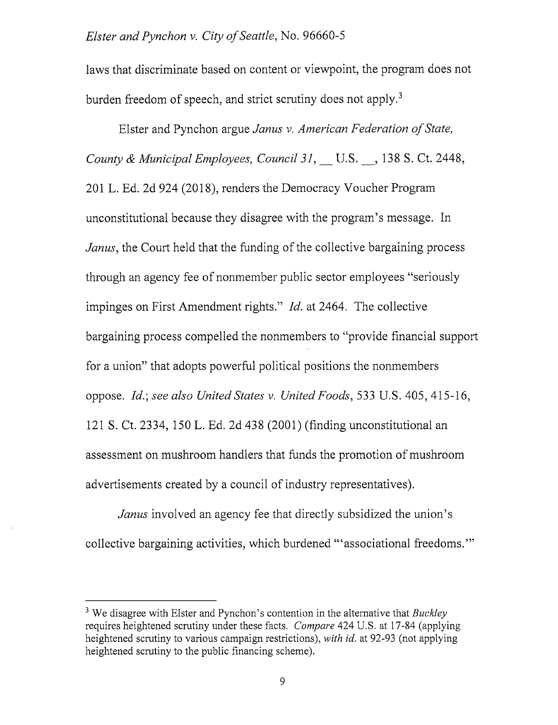laws that discriminate based on content or viewpoint, the program does not burden freedom of speech, and strict scrutiny does not apply.<sup>3</sup>

Eister and Pynchon argue Janus v. American Federation of State, County & Municipal Employees, Council 31, U.S. , 138 S. Ct. 2448, 201 L. Ed. 2d 924 (2018), renders the Democracy Voucher Program unconstitutional because they disagree with the program's message. In Janus, the Court held that the funding of the collective bargaining process through an agency fee of nonmember public sector employees "seriously impinges on First Amendment rights." *Id.* at 2464. The collective bargaining process compelled the nonmembers to "provide financial support for a union" that adopts powerful political positions the nonmembers oppose. Id.] see also United States v. United Foods, 533 U.S. 405, 415-16, 121 S. Ct. 2334, 150 L. Ed. 2d 438 (2001) (finding unconstitutional an assessment on mushroom handlers that funds the promotion of mushroom advertisements created by a council of industry representatives).

Janus involved an agency fee that directly subsidized the union's collective bargaining activities, which burdened "'associational freedoms.'"

<sup>&</sup>lt;sup>3</sup> We disagree with Elster and Pynchon's contention in the alternative that *Buckley* requires heightened scrutiny under these facts. Compare 424 U.S. at 17-84 (applying heightened scrutiny to various campaign restrictions), with id. at 92-93 (not applying heightened scrutiny to the public financing scheme).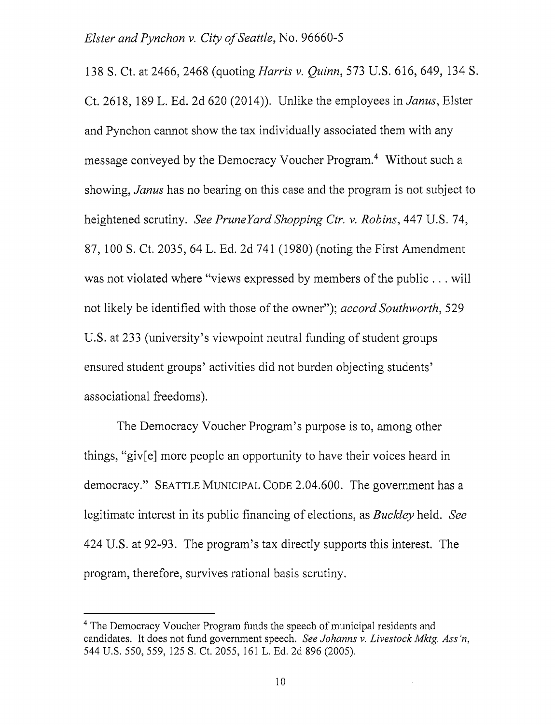138 S. Ct. at 2466, 2468 (quoting Harris v. Quinn, 573 U.S. 616, 649, 134 S. Ct. 2618, 189 L. Ed. 2d 620 (2014)). Unlike the employees in Janus, Bister and Pynchon cannot show the tax individually associated them with any message conveyed by the Democracy Voucher Program.<sup>4</sup> Without such a showing, *Janus* has no bearing on this case and the program is not subject to heightened scrutiny. See PruneYard Shopping Ctr. v. Robins, 447 U.S. 74, 87, 100 S. Ct. 2035, 64 L. Ed. 2d 741 (1980) (noting the First Amendment was not violated where "views expressed by members of the public . . . will not likely be identified with those of the owner"); accord Southworth, 529 U.S. at 233 (university's viewpoint neutral funding of student groups ensured student groups' activities did not burden objecting students' associational freedoms).

The Democracy Voucher Program's purpose is to, among other things, "giv[e] more people an opportunity to have their voices heard in democracy." SEATTLE MUNICIPAL CODE 2.04.600. The government has a legitimate interest in its public financing of elections, as Buckley held. See 424 U.S. at 92-93. The program's tax directly supports this interest. The program, therefore, survives rational basis scrutiny.

<sup>&</sup>lt;sup>4</sup> The Democracy Voucher Program funds the speech of municipal residents and candidates. It does not fund government speech. See Johanns v. Livestock Mktg. Ass'n, 544 U.S. 550, 559, 125 S. Ct. 2055, 161 L. Ed. 2d 896 (2005).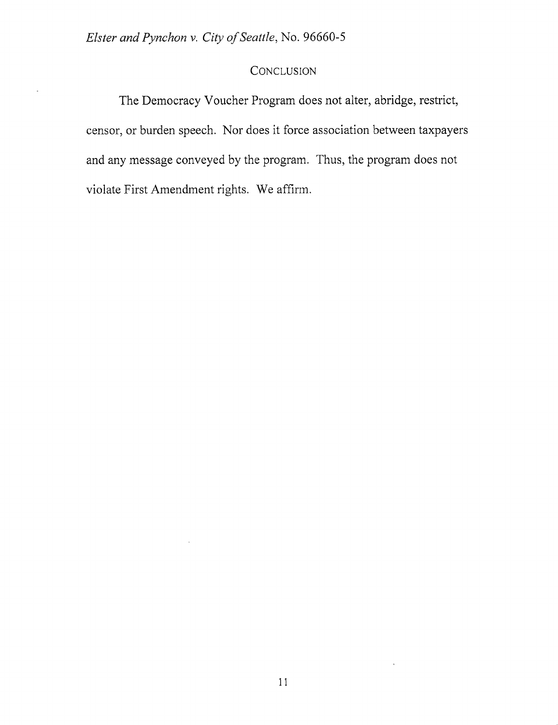÷.

# **CONCLUSION**

The Democracy Voucher Program docs not alter, abridge, restrict, censor, or burden speech. Nor does it force association between taxpayers and any message conveyed by the program. Thus, the program does not violate First Amendment rights. We affirm.